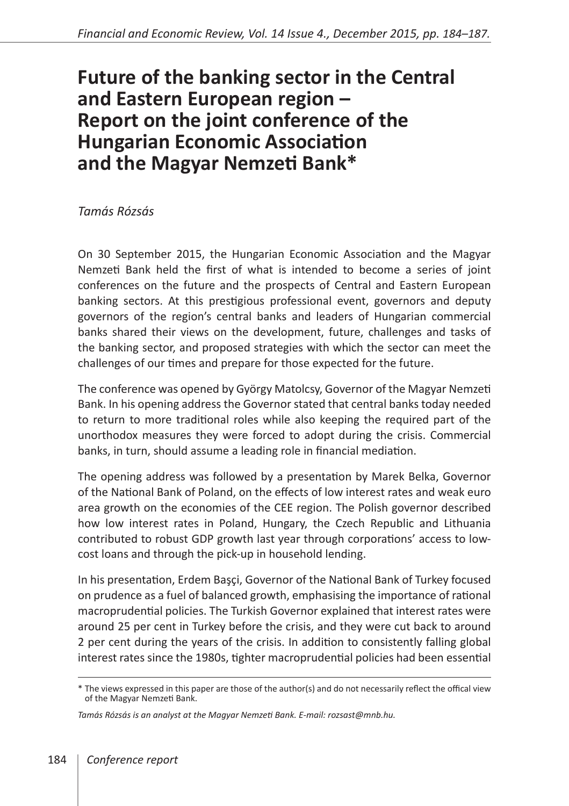## **Future of the banking sector in the Central and Eastern European region – Report on the joint conference of the Hungarian Economic Association and the Magyar Nemzeti Bank\***

## *Tamás Rózsás*

On 30 September 2015, the Hungarian Economic Association and the Magyar Nemzeti Bank held the first of what is intended to become a series of joint conferences on the future and the prospects of Central and Eastern European banking sectors. At this prestigious professional event, governors and deputy governors of the region's central banks and leaders of Hungarian commercial banks shared their views on the development, future, challenges and tasks of the banking sector, and proposed strategies with which the sector can meet the challenges of our times and prepare for those expected for the future.

The conference was opened by György Matolcsy, Governor of the Magyar Nemzeti Bank. In his opening address the Governor stated that central banks today needed to return to more traditional roles while also keeping the required part of the unorthodox measures they were forced to adopt during the crisis. Commercial banks, in turn, should assume a leading role in financial mediation.

The opening address was followed by a presentation by Marek Belka, Governor of the National Bank of Poland, on the effects of low interest rates and weak euro area growth on the economies of the CEE region. The Polish governor described how low interest rates in Poland, Hungary, the Czech Republic and Lithuania contributed to robust GDP growth last year through corporations' access to lowcost loans and through the pick-up in household lending.

In his presentation, Erdem Başçi, Governor of the National Bank of Turkey focused on prudence as a fuel of balanced growth, emphasising the importance of rational macroprudential policies. The Turkish Governor explained that interest rates were around 25 per cent in Turkey before the crisis, and they were cut back to around 2 per cent during the years of the crisis. In addition to consistently falling global interest rates since the 1980s, tighter macroprudential policies had been essential

<sup>\*</sup> The views expressed in this paper are those of the author(s) and do not necessarily reflect the offical view of the Magyar Nemzeti Bank.

*Tamás Rózsás is an analyst at the Magyar Nemzeti Bank. E-mail: rozsast@mnb.hu.*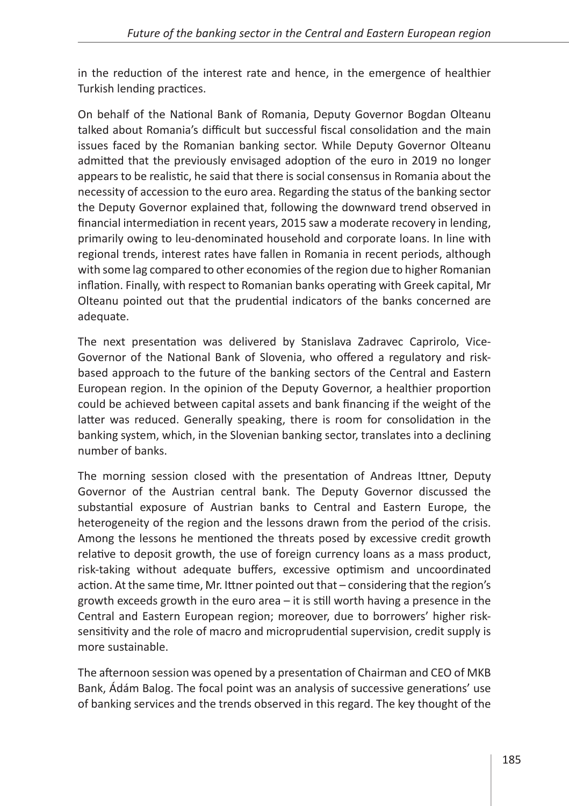in the reduction of the interest rate and hence, in the emergence of healthier Turkish lending practices.

On behalf of the National Bank of Romania, Deputy Governor Bogdan Olteanu talked about Romania's difficult but successful fiscal consolidation and the main issues faced by the Romanian banking sector. While Deputy Governor Olteanu admitted that the previously envisaged adoption of the euro in 2019 no longer appears to be realistic, he said that there is social consensus in Romania about the necessity of accession to the euro area. Regarding the status of the banking sector the Deputy Governor explained that, following the downward trend observed in financial intermediation in recent years, 2015 saw a moderate recovery in lending, primarily owing to leu-denominated household and corporate loans. In line with regional trends, interest rates have fallen in Romania in recent periods, although with some lag compared to other economies of the region due to higher Romanian inflation. Finally, with respect to Romanian banks operating with Greek capital, Mr Olteanu pointed out that the prudential indicators of the banks concerned are adequate.

The next presentation was delivered by Stanislava Zadravec Caprirolo, Vice-Governor of the National Bank of Slovenia, who offered a regulatory and riskbased approach to the future of the banking sectors of the Central and Eastern European region. In the opinion of the Deputy Governor, a healthier proportion could be achieved between capital assets and bank financing if the weight of the latter was reduced. Generally speaking, there is room for consolidation in the banking system, which, in the Slovenian banking sector, translates into a declining number of banks.

The morning session closed with the presentation of Andreas Ittner, Deputy Governor of the Austrian central bank. The Deputy Governor discussed the substantial exposure of Austrian banks to Central and Eastern Europe, the heterogeneity of the region and the lessons drawn from the period of the crisis. Among the lessons he mentioned the threats posed by excessive credit growth relative to deposit growth, the use of foreign currency loans as a mass product, risk-taking without adequate buffers, excessive optimism and uncoordinated action. At the same time, Mr. Ittner pointed out that – considering that the region's growth exceeds growth in the euro area – it is still worth having a presence in the Central and Eastern European region; moreover, due to borrowers' higher risksensitivity and the role of macro and microprudential supervision, credit supply is more sustainable.

The afternoon session was opened by a presentation of Chairman and CEO of MKB Bank, Ádám Balog. The focal point was an analysis of successive generations' use of banking services and the trends observed in this regard. The key thought of the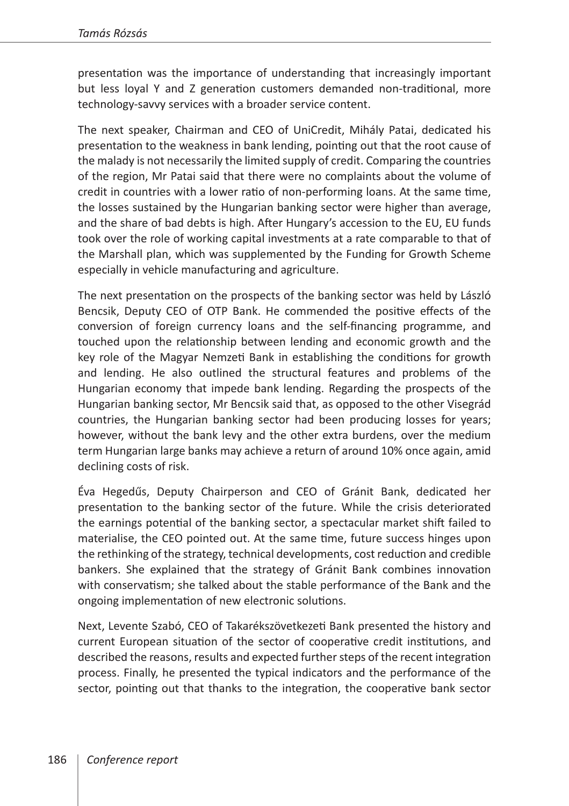presentation was the importance of understanding that increasingly important but less loyal Y and Z generation customers demanded non-traditional, more technology-savvy services with a broader service content.

The next speaker, Chairman and CEO of UniCredit, Mihály Patai, dedicated his presentation to the weakness in bank lending, pointing out that the root cause of the malady is not necessarily the limited supply of credit. Comparing the countries of the region, Mr Patai said that there were no complaints about the volume of credit in countries with a lower ratio of non-performing loans. At the same time, the losses sustained by the Hungarian banking sector were higher than average, and the share of bad debts is high. After Hungary's accession to the EU, EU funds took over the role of working capital investments at a rate comparable to that of the Marshall plan, which was supplemented by the Funding for Growth Scheme especially in vehicle manufacturing and agriculture.

The next presentation on the prospects of the banking sector was held by László Bencsik, Deputy CEO of OTP Bank. He commended the positive effects of the conversion of foreign currency loans and the self-financing programme, and touched upon the relationship between lending and economic growth and the key role of the Magyar Nemzeti Bank in establishing the conditions for growth and lending. He also outlined the structural features and problems of the Hungarian economy that impede bank lending. Regarding the prospects of the Hungarian banking sector, Mr Bencsik said that, as opposed to the other Visegrád countries, the Hungarian banking sector had been producing losses for years; however, without the bank levy and the other extra burdens, over the medium term Hungarian large banks may achieve a return of around 10% once again, amid declining costs of risk.

Éva Hegedűs, Deputy Chairperson and CEO of Gránit Bank, dedicated her presentation to the banking sector of the future. While the crisis deteriorated the earnings potential of the banking sector, a spectacular market shift failed to materialise, the CEO pointed out. At the same time, future success hinges upon the rethinking of the strategy, technical developments, cost reduction and credible bankers. She explained that the strategy of Gránit Bank combines innovation with conservatism; she talked about the stable performance of the Bank and the ongoing implementation of new electronic solutions.

Next, Levente Szabó, CEO of Takarékszövetkezeti Bank presented the history and current European situation of the sector of cooperative credit institutions, and described the reasons, results and expected further steps of the recent integration process. Finally, he presented the typical indicators and the performance of the sector, pointing out that thanks to the integration, the cooperative bank sector